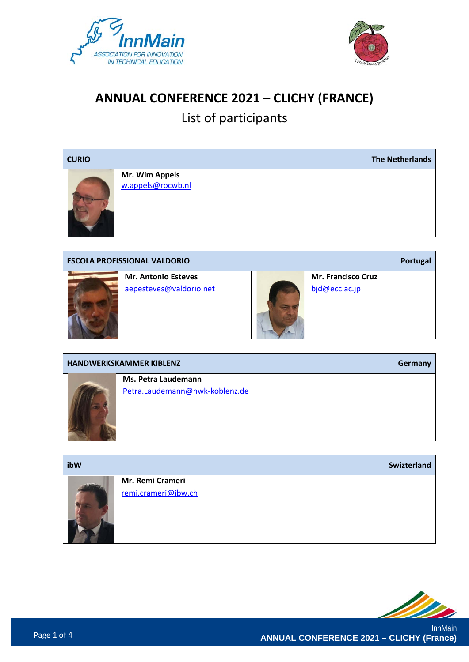



### **ANNUAL CONFERENCE 2021 – CLICHY (FRANCE)**

## List of participants





**Mr. Antonio Esteves** [aepesteves@valdorio.net](mailto:aepesteves@valdorio.net)



**Mr. Francisco Cruz**  [bjd@ecc.ac.jp](mailto:bjd@ecc.ac.jp)

**Ms. Petra Laudemann** [Petra.Laudemann@hwk-koblenz.de](mailto:Petra.Laudemann@hwk-koblenz.de) **ibW Swizterland Mr. Remi Crameri** [remi.crameri@ibw.ch](mailto:remi.crameri@ibw.ch)

**HANDWERKSKAMMER KIBLENZ Germany**

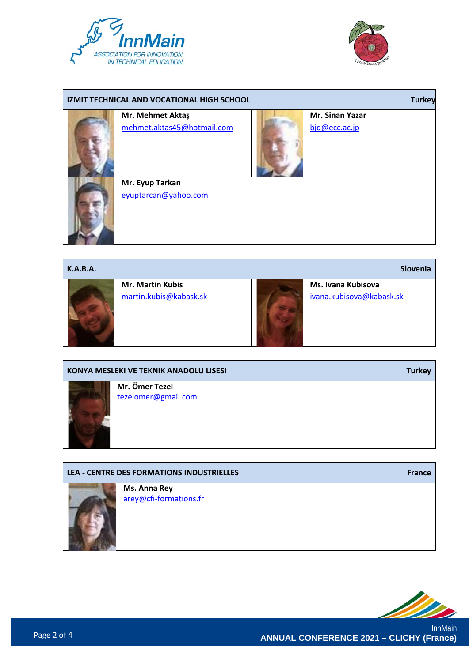



## **IZMIT TECHNICAL AND VOCATIONAL HIGH SCHOOL Turkey Mr. Mehmet Aktaş** [mehmet.aktas45@hotmail.com](mailto:mehmet.aktas45@hotmail.com) **Mr. Sinan Yazar** [bjd@ecc.ac.jp](mailto:bjd@ecc.ac.jp) **Mr. Eyup Tarkan** [eyuptarcan@yahoo.com](mailto:eyuptarcan@yahoo.com)



# [tezelomer@gmail.com](mailto:tezelomer@gmail.com) **LEA - CENTRE DES FORMATIONS INDUSTRIELLES France Ms. Anna Rey** [arey@cfi-formations.fr](mailto:arey@cfi-formations.fr)

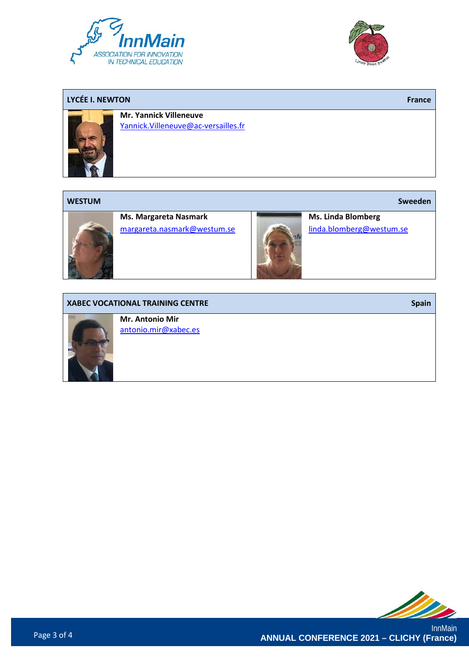



#### **LYCÉE I. NEWTON France**



**Mr. Yannick Villeneuve** [Yannick.Villeneuve@ac-versailles.fr](mailto:Yannick.Villeneuve@ac-versailles.fr)

#### **WESTUM Sweeden**



**Ms. Margareta Nasmark** [margareta.nasmark@westum.se](mailto:margareta.nasmark@westum.se)



**Ms. Linda Blomberg** [linda.blomberg@westum.se](mailto:linda.blomberg@westum.se)

#### **XABEC VOCATIONAL TRAINING CENTRE Spain Spain Spain Spain Spain Spain Spain**

**Mr. Antonio Mir** [antonio.mir@xabec.es](mailto:antonio.mir@xabec.es)